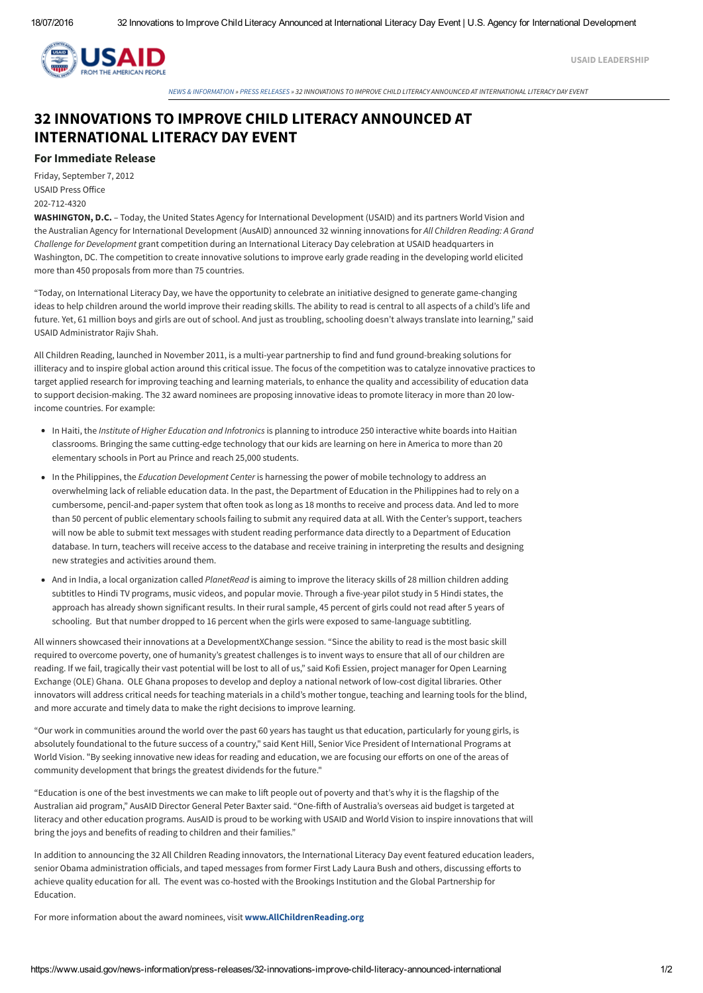

USAID [LEADERSHIP](https://www.usaid.gov/who-we-are/organization/leadership-listing)

NEWS & [INFORMATION](https://www.usaid.gov/news-information) » PRESS [RELEASES](https://www.usaid.gov/news-information/press-releases) » 32 INNOVATIONS TO IMPROVE CHILD LITERACY ANNOUNCED AT INTFRNATIONAL LITERACY DAY FVENT

## 32 INNOVATIONS TO IMPROVE CHILD LITERACY ANNOUNCED AT INTERNATIONAL LITERACY DAY EVENT

## For Immediate Release

Friday, September 7, 2012 USAID Press Office 202-712-4320

WASHINGTON, D.C. – Today, the United States Agency for International Development (USAID) and its partners World Vision and the Australian Agency for International Development (AusAID) announced 32 winning innovations for *All Children Reading: A Grand Challenge for Development* grant competition during an International Literacy Day celebration at USAID headquarters in Washington, DC. The competition to create innovative solutions to improve early grade reading in the developing world elicited more than 450 proposals from more than 75 countries.

"Today, on International Literacy Day, we have the opportunity to celebrate an initiative designed to generate game-changing ideas to help children around the world improve their reading skills. The ability to read is central to all aspects of a child's life and future. Yet, 61 million boys and girls are out of school. And just as troubling, schooling doesn't always translate into learning," said USAID Administrator Rajiv Shah.

All Children Reading, launched in November 2011, is a multi-year partnership to find and fund ground-breaking solutions for illiteracy and to inspire global action around this critical issue. The focus of the competition was to catalyze innovative practices to target applied research for improving teaching and learning materials, to enhance the quality and accessibility of education data to support decision-making. The 32 award nominees are proposing innovative ideas to promote literacy in more than 20 lowincome countries. For example:

- In Haiti, the *Institute of Higher Education and Infotronics* is planning to introduce 250 interactive white boards into Haitian classrooms. Bringing the same cutting-edge technology that our kids are learning on here in America to more than 20 elementary schools in Port au Prince and reach 25,000 students.
- In the Philippines, the *Education Development Center* is harnessing the power of mobile technology to address an overwhelming lack of reliable education data. In the past, the Department of Education in the Philippines had to rely on a cumbersome, pencil-and-paper system that often took as long as 18 months to receive and process data. And led to more than 50 percent of public elementary schools failing to submit any required data at all. With the Center's support, teachers will now be able to submit text messages with student reading performance data directly to a Department of Education database. In turn, teachers will receive access to the database and receive training in interpreting the results and designing new strategies and activities around them.
- And in India, a local organization called *PlanetRead* is aiming to improve the literacy skills of 28 million children adding subtitles to Hindi TV programs, music videos, and popular movie. Through a five-year pilot study in 5 Hindi states, the approach has already shown significant results. In their rural sample, 45 percent of girls could not read after 5 years of schooling. But that number dropped to 16 percent when the girls were exposed to same-language subtitling.

All winners showcased their innovations at a DevelopmentXChange session. "Since the ability to read is the most basic skill required to overcome poverty, one of humanity's greatest challenges is to invent ways to ensure that all of our children are reading. If we fail, tragically their vast potential will be lost to all of us," said Kofi Essien, project manager for Open Learning Exchange (OLE) Ghana. OLE Ghana proposes to develop and deploy a national network of low-cost digital libraries. Other innovators will address critical needs for teaching materials in a child's mother tongue, teaching and learning tools for the blind, and more accurate and timely data to make the right decisions to improve learning.

"Our work in communities around the world over the past 60 years has taught us that education, particularly for young girls, is absolutely foundational to the future success of a country," said Kent Hill, Senior Vice President of International Programs at World Vision. "By seeking innovative new ideas for reading and education, we are focusing our efforts on one of the areas of community development that brings the greatest dividends for the future."

"Education is one of the best investments we can make to lift people out of poverty and that's why it is the flagship of the Australian aid program," AusAID Director General Peter Baxter said. "One-fifth of Australia's overseas aid budget is targeted at literacy and other education programs. AusAID is proud to be working with USAID and World Vision to inspire innovations that will bring the joys and benefits of reading to children and their families."

In addition to announcing the 32 All Children Reading innovators, the International Literacy Day event featured education leaders, senior Obama administration officials, and taped messages from former First Lady Laura Bush and others, discussing efforts to achieve quality education for all. The event was co-hosted with the Brookings Institution and the Global Partnership for Education.

For more information about the award nominees, visit [www.AllChildrenReading.org](http://www.allchildrenreading.org/)